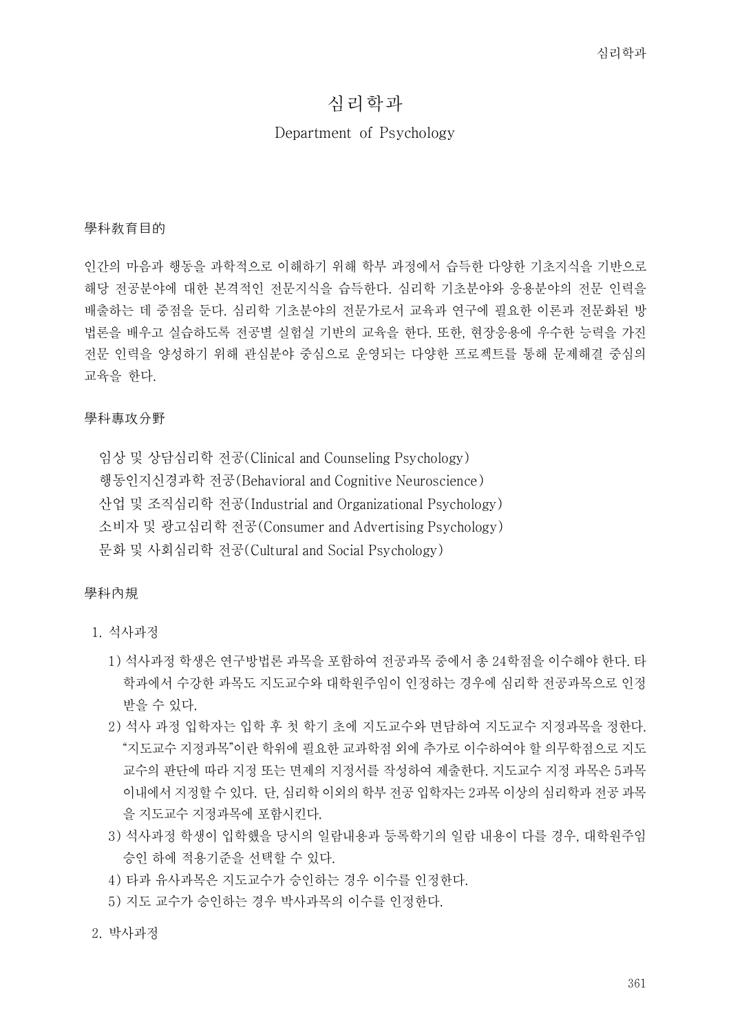# 심리학과

### Department of Psychology

#### 學科敎育目的

인간의 마음과 행동을 과학적으로 이해하기 위해 학부 과정에서 습득한 다양한 기초지식을 기반으로 해당 전공분야에 대한 본격적인 전문지식을 습득한다. 심리학 기초분야와 응용분야의 전문 인력을 배출하는 데 중점을 둔다. 심리학 기초분야의 전문가로서 교육과 연구에 필요한 이론과 전문화된 방 법론을 배우고 실습하도록 전공별 실험실 기반의 교육을 한다. 또한, 현장응용에 우수한 능력을 가진 전문 인력을 양성하기 위해 관심분야 중심으로 운영되는 다양한 프로젝트를 통해 문제해결 중심의 교육을 한다.

### 學科專攻分野

임상 및 상담심리학 전공(Clinical and Counseling Psychology) 행동인지신경과학 전공(Behavioral and Cognitive Neuroscience) 산업 및 조직심리학 전공(Industrial and Organizational Psychology) 소비자 및 광고심리학 전공(Consumer and Advertising Psychology) 문화 및 사회심리학 전공(Cultural and Social Psychology)

#### 學科內規

- 1. 석사과정
	- 1) 석사과정 학생은 연구방법론 과목을 포함하여 전공과목 중에서 총 24학점을 이수해야 한다. 타 학과에서 수강한 과목도 지도교수와 대학원주임이 인정하는 경우에 심리학 전공과목으로 인정
	- 받을 수 있다.<br>2) 석사 과정 입학자는 입학 후 첫 학기 초에 지도교수와 면담하여 지도교수 지정과목을 정한다.<br> "지도교수 지정과목"이란 학위에 필요한 교과학점 외에 추가로 이수하여야 할 의무학점으로 지도 교수의 판단에 따라 지정 또는 면제의 지정서를 작성하여 제출한다. 지도교수 지정 과목은 5과목 이내에서 지정할 수 있다. 단, 심리학 이외의 학부 전공 입학자는 2과목 이상의 심리학과 전공 과목 을 지도교수 지정과목에 포함시킨다.<br>3) 석사과정 학생이 입학했을 당시의 일람내용과 등록학기의 일람 내용이 다를 경우, 대학원주임
	- 승인 하에 적용기준을 선택할 수 있다.
	- 4) 타과 유사과목은 지도교수가 승인하는 경우 이수를 인정한다.
	- 5) 지도 교수가 승인하는 경우 박사과목의 이수를 인정한다.

#### 2. 박사과정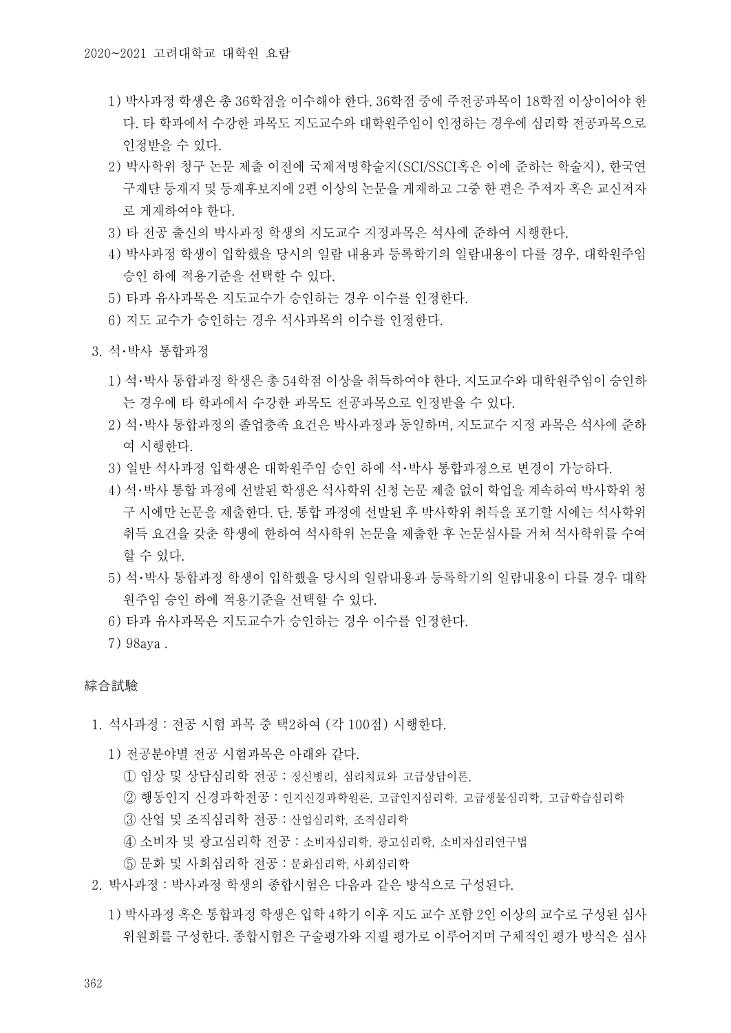- 1) 박사과정 학생은 총 36학점을 이수해야 한다. 36학점 중에 주전공과목이 18학점 이상이어야 한 다. 타 학과에서 수강한 과목도 지도교수와 대학원주임이 인정하는 경우에 심리학 전공과목으로 인정받을 수 있다.
- 2) 박사학위 청구 논문 제출 이전에 국제저명학술지(SCI/SSCI혹은 이에 준하는 학술지), 한국연 구재단 등재지 및 등재후보지에 2편 이상의 논문을 게재하고 그중 한 편은 주저자 혹은 교신저자 로 게재하여야 한다.
- 3) 타 전공 출신의 박사과정 학생의 지도교수 지정과목은 석사에 준하여 시행한다.
- 4) 박사과정 학생이 입학했을 당시의 일람 내용과 등록학기의 일람내용이 다를 경우, 대학원주임 승인 하에 적용기준을 선택할 수 있다.
- 5) 타과 유사과목은 지도교수가 승인하는 경우 이수를 인정한다.
- 6) 지도 교수가 승인하는 경우 석사과목의 이수를 인정한다.
- 3. 석・박사 통합과정
	- 1) 석・박사 통합과정 학생은 총 54학점 이상을 취득하여야 한다. 지도교수와 대학원주임이 승인하 는 경우에 타 학과에서 수강한 과목도 전공과목으로 인정받을 수 있다.
	- 2) 석・박사 통합과정의 졸업충족 요건은 박사과정과 동일하며, 지도교수 지정 과목은 석사에 준하 - 여 시행한다.<br>3) 일반 석사과정 입학생은 대학원주임 승인 하에 석·박사 통합과정으로 변경이 가능하다.
	-
	- 4) 석・박사 통합 과정에 선발된 학생은 석사학위 신청 논문 제출 없이 학업을 계속하여 박사학위 청 구 시에만 논문을 제출한다. 단, 통합 과정에 선발된 후 박사학위 취득을 포기할 시에는 석사학위 취득 요건을 갖춘 학생에 한하여 석사학위 논문을 제출한 후 논문심사를 거쳐 석사학위를 수여 할 수 있다.
	- 5) 석・박사 통합과정 학생이 입학했을 당시의 일람내용과 등록학기의 일람내용이 다를 경우 대학 원주임 승인 하에 적용기준을 선택할 수 있다.
	- 6) 타과 유사과목은 지도교수가 승인하는 경우 이수를 인정한다.
	- 7) 98aya .

#### 綜合試驗

- 1. 석사과정 : 전공 시험 과목 중 택2하여 (각 100점) 시행한다.<br>1) 전공분야별 전공 시험과목은 아래와 같다.<br>① 임상 및 상담심리학 전공 : 정신병리, 심리치료와 고급상담이론,
	- -
		- ② 행동인지 신경과학전공 : 인지신경과학원론, 고급인지심리학, 고급생물심리학, 고급학습심리학
		- ③ 산업 및 조직심리학 전공 : 산업심리학, 조직심리학
		- ④ 소비자 및 광고심리학 전공 : 소비자심리학, 광고심리학, 소비자심리연구법
		- ⑤ 문화 및 사회심리학 전공 : 문화심리학, 사회심리학
- 2. 박사과정 : 박사과정 학생의 종합시험은 다음과 같은 방식으로 구성된다.
	- 1) 박사과정 혹은 통합과정 학생은 입학 4학기 이후 지도 교수 포함 2인 이상의 교수로 구성된 심사 위원회를 구성한다. 종합시험은 구술평가와 지필 평가로 이루어지며 구체적인 평가 방식은 심사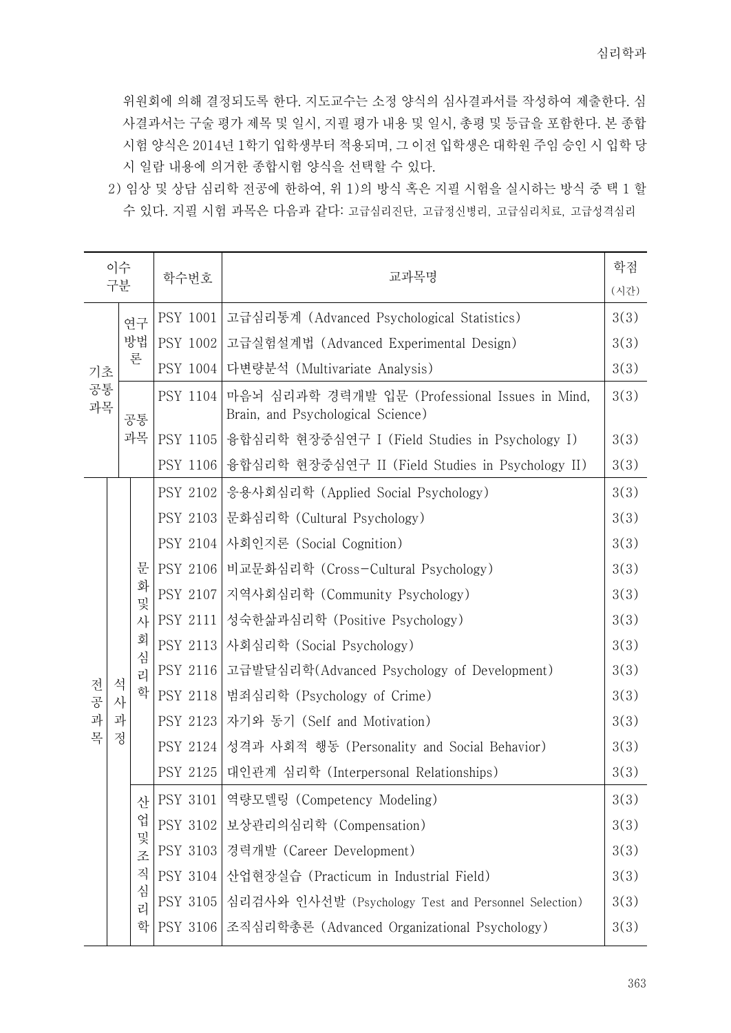위원회에 의해 결정되도록 한다. 지도교수는 소정 양식의 심사결과서를 작성하여 제출한다. 심 사결과서는 구술 평가 제목 및 일시, 지필 평가 내용 및 일시, 총평 및 등급을 포함한다. 본 종합 시험 양식은 2014년 1학기 입학생부터 적용되며, 그 이전 입학생은 대학원 주임 승인 시 입학 당 시 일람 내용에 의거한 종합시험 양식을 선택할 수 있다.

2) 임상 및 상담 심리학 전공에 한하여, 위 1)의 방식 혹은 지필 시험을 실시하는 방식 중 택 1 할 수 있다. 지필 시험 과목은 다음과 같다: 고급심리진단, 고급정신병리, 고급심리치료, 고급성격심리

|                | 이수     |                                      | 학수번호 |                 | 교과목명                                                                                | 학점   |
|----------------|--------|--------------------------------------|------|-----------------|-------------------------------------------------------------------------------------|------|
|                | 구분     |                                      |      |                 |                                                                                     | (시간) |
| 기초<br>공통<br>과목 |        | 연구                                   |      | PSY 1001        | 고급심리통계 (Advanced Psychological Statistics)                                          | 3(3) |
|                |        | 방법                                   |      | PSY 1002        | 고급실험설계법 (Advanced Experimental Design)                                              | 3(3) |
|                |        | 론                                    |      | PSY 1004        | 다변량분석 (Multivariate Analysis)                                                       | 3(3) |
|                |        | 공통                                   |      | <b>PSY 1104</b> | 마음뇌 심리과학 경력개발 입문 (Professional Issues in Mind,<br>Brain, and Psychological Science) | 3(3) |
|                |        | 과목                                   |      | PSY 1105        | 융합심리학 현장중심연구 I (Field Studies in Psychology I)                                      | 3(3) |
|                |        |                                      |      | PSY 1106        | 융합심리학 현장중심연구 II (Field Studies in Psychology II)                                    | 3(3) |
|                |        | 문<br>화<br>및<br>사<br>회<br>심<br>리<br>학 |      | PSY 2102        | 응용사회심리학 (Applied Social Psychology)                                                 | 3(3) |
|                |        |                                      |      | <b>PSY 2103</b> | 문화심리학 (Cultural Psychology)                                                         | 3(3) |
|                |        |                                      |      | PSY 2104        | 사회인지론 (Social Cognition)                                                            | 3(3) |
|                |        |                                      |      | PSY 2106        | 비교문화심리학 (Cross-Cultural Psychology)                                                 | 3(3) |
|                |        |                                      |      | PSY 2107        | 지역사회심리학 (Community Psychology)                                                      | 3(3) |
|                |        |                                      |      | PSY 2111        | 성숙한삶과심리학 (Positive Psychology)                                                      | 3(3) |
|                |        |                                      |      | PSY 2113        | 사회심리학 (Social Psychology)                                                           | 3(3) |
|                |        |                                      |      | PSY 2116        | 고급발달심리학(Advanced Psychology of Development)                                         | 3(3) |
| 전<br>공         | 석<br>사 |                                      |      | PSY 2118        | 범죄심리학 (Psychology of Crime)                                                         | 3(3) |
| 과              | 과      |                                      |      | PSY 2123        | 자기와 동기 (Self and Motivation)                                                        | 3(3) |
| 목              | 정      |                                      |      | PSY 2124        | 성격과 사회적 행동 (Personality and Social Behavior)                                        | 3(3) |
|                |        |                                      |      | PSY 2125        | 대인관계 심리학 (Interpersonal Relationships)                                              | 3(3) |
|                |        | 산<br>업<br>및<br>圣<br>직<br>심<br>리      |      | PSY 3101        | 역량모델링 (Competency Modeling)                                                         | 3(3) |
|                |        |                                      |      | PSY 3102        | 보상관리의심리학 (Compensation)                                                             | 3(3) |
|                |        |                                      |      | PSY 3103        | 경력개발 (Career Development)                                                           | 3(3) |
|                |        |                                      |      | PSY 3104        | 산업현장실습 (Practicum in Industrial Field)                                              | 3(3) |
|                |        |                                      |      | PSY 3105        | 심리검사와 인사선발 (Psychology Test and Personnel Selection)                                | 3(3) |
|                |        | 화                                    |      | PSY 3106        | 조직심리학총론 (Advanced Organizational Psychology)                                        | 3(3) |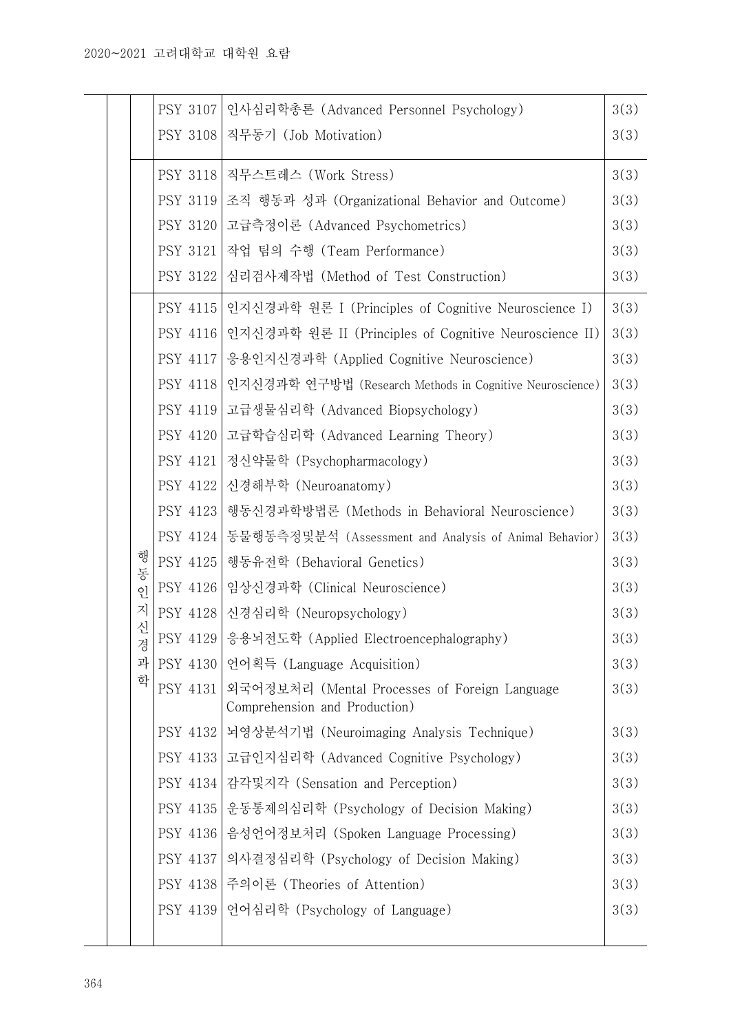|        | <b>PSY 3107</b> | 인사심리학총론 (Advanced Personnel Psychology)                                        | 3(3) |
|--------|-----------------|--------------------------------------------------------------------------------|------|
|        | <b>PSY 3108</b> | 직무동기 (Job Motivation)                                                          | 3(3) |
|        | PSY 3118        | 직무스트레스 (Work Stress)                                                           | 3(3) |
|        | <b>PSY 3119</b> | 조직 행동과 성과 (Organizational Behavior and Outcome)                                | 3(3) |
|        | PSY 3120        | 고급측정이론 (Advanced Psychometrics)                                                | 3(3) |
|        | PSY 3121        | 작업 팀의 수행 (Team Performance)                                                    | 3(3) |
|        | PSY 3122        | 심리검사제작법 (Method of Test Construction)                                          | 3(3) |
|        | PSY 4115        | 인지신경과학 원론 I (Principles of Cognitive Neuroscience I)                           | 3(3) |
|        | PSY 4116        | 인지신경과학 원론 II (Principles of Cognitive Neuroscience II)                         | 3(3) |
|        | PSY 4117        | 응용인지신경과학 (Applied Cognitive Neuroscience)                                      | 3(3) |
|        | PSY 4118        | 인지신경과학 연구방법 (Research Methods in Cognitive Neuroscience)                       | 3(3) |
|        | PSY 4119        | 고급생물심리학 (Advanced Biopsychology)                                               | 3(3) |
|        | PSY 4120        | 고급학습심리학 (Advanced Learning Theory)                                             | 3(3) |
|        | PSY 4121        | 정신약물학 (Psychopharmacology)                                                     | 3(3) |
|        | <b>PSY 4122</b> | 신경해부학 (Neuroanatomy)                                                           | 3(3) |
|        | PSY 4123        | 행동신경과학방법론 (Methods in Behavioral Neuroscience)                                 | 3(3) |
|        | PSY 4124        | 동물행동측정및분석 (Assessment and Analysis of Animal Behavior)                         | 3(3) |
| 행<br>동 | PSY 4125        | 행동유전학 (Behavioral Genetics)                                                    | 3(3) |
| $Q$ ]  | PSY 4126        | 임상신경과학 (Clinical Neuroscience)                                                 | 3(3) |
| 지      | PSY 4128        | 신경심리학 (Neuropsychology)                                                        | 3(3) |
| 신<br>경 | PSY 4129        | 응용뇌전도학 (Applied Electroencephalography)                                        | 3(3) |
| 과      | PSY 4130        | 언어획득 (Language Acquisition)                                                    | 3(3) |
| 학      | PSY 4131        | 외국어정보처리 (Mental Processes of Foreign Language<br>Comprehension and Production) | 3(3) |
|        |                 | PSY 4132 뇌영상분석기법 (Neuroimaging Analysis Technique)                             | 3(3) |
|        |                 | PSY 4133 고급인지심리학 (Advanced Cognitive Psychology)                               | 3(3) |
|        | PSY 4134        | 감각및지각 (Sensation and Perception)                                               | 3(3) |
|        | PSY 4135        | 운동통제의심리학 (Psychology of Decision Making)                                       | 3(3) |
|        | PSY 4136        | 음성언어정보처리 (Spoken Language Processing)                                          | 3(3) |
|        | PSY 4137        | 의사결정심리학 (Psychology of Decision Making)                                        | 3(3) |
|        |                 | PSY 4138 주의이론 (Theories of Attention)                                          | 3(3) |
|        | PSY 4139        | 언어심리학 (Psychology of Language)                                                 | 3(3) |
|        |                 |                                                                                |      |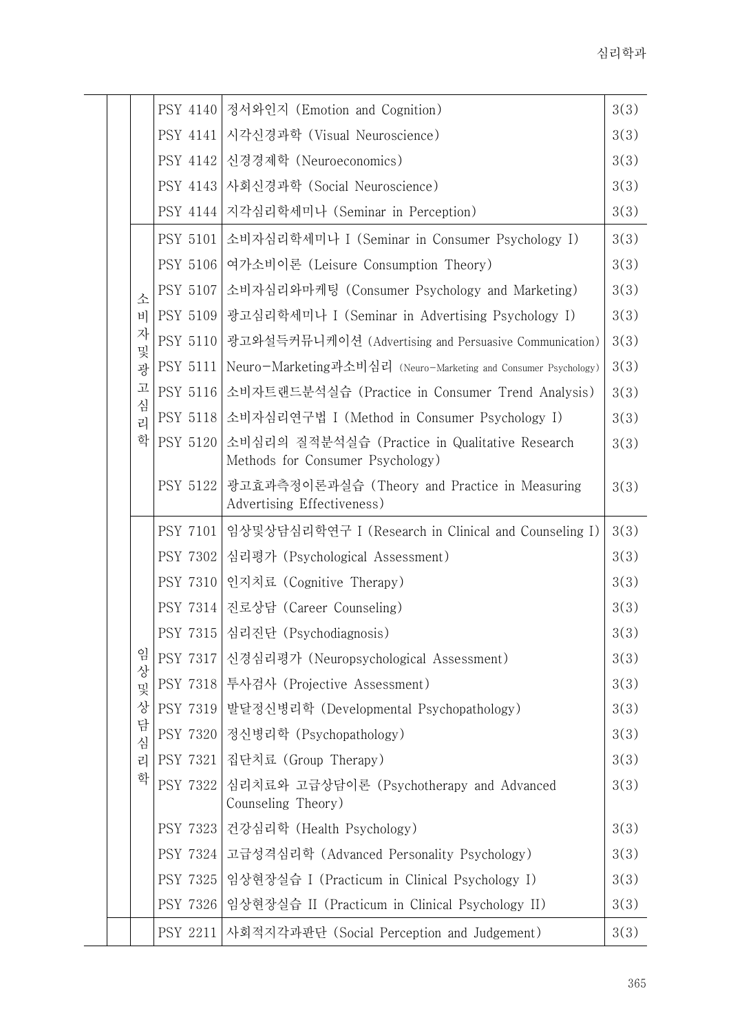|        | PSY 4140        | 정서와인지 (Emotion and Cognition)                                                      | 3(3) |
|--------|-----------------|------------------------------------------------------------------------------------|------|
|        | PSY 4141        | 시각신경과학 (Visual Neuroscience)                                                       | 3(3) |
|        | PSY 4142        | 신경경제학 (Neuroeconomics)                                                             | 3(3) |
|        | PSY 4143        | 사회신경과학 (Social Neuroscience)                                                       | 3(3) |
|        | <b>PSY 4144</b> | 지각심리학세미나 (Seminar in Perception)                                                   | 3(3) |
|        | <b>PSY 5101</b> | 소비자심리학세미나 I (Seminar in Consumer Psychology I)                                     | 3(3) |
|        | PSY 5106        | 여가소비이론 (Leisure Consumption Theory)                                                | 3(3) |
| 소      | PSY 5107        | 소비자심리와마케팅 (Consumer Psychology and Marketing)                                      | 3(3) |
| 비      | PSY 5109        | 광고심리학세미나 I (Seminar in Advertising Psychology I)                                   | 3(3) |
| 자<br>및 | PSY 5110        | 광고와설득커뮤니케이션 (Advertising and Persuasive Communication)                             | 3(3) |
| 광      | <b>PSY 5111</b> | Neuro-Marketing과소비심리 (Neuro-Marketing and Consumer Psychology)                     | 3(3) |
| 고      | <b>PSY 5116</b> | 소비자트랜드분석실습 (Practice in Consumer Trend Analysis)                                   | 3(3) |
| 심<br>리 | <b>PSY 5118</b> | 소비자심리연구법 I (Method in Consumer Psychology I)                                       | 3(3) |
| 학      | PSY 5120        | 소비심리의 질적분석실습 (Practice in Qualitative Research<br>Methods for Consumer Psychology) | 3(3) |
|        | <b>PSY 5122</b> | 광고효과측정이론과실습 (Theory and Practice in Measuring<br>Advertising Effectiveness)        | 3(3) |
|        | <b>PSY 7101</b> | 임상및상담심리학연구 I (Research in Clinical and Counseling I)                               | 3(3) |
|        | PSY 7302        | 심리평가 (Psychological Assessment)                                                    | 3(3) |
|        | PSY 7310        | 인지치료 (Cognitive Therapy)                                                           | 3(3) |
|        | PSY 7314        | 진로상담 (Career Counseling)                                                           | 3(3) |
|        | PSY 7315        | 심리진단 (Psychodiagnosis)                                                             | 3(3) |
| 임      | <b>PSY 7317</b> | 신경심리평가 (Neuropsychological Assessment)                                             | 3(3) |
| 상<br>및 | <b>PSY 7318</b> | 투사검사 (Projective Assessment)                                                       | 3(3) |
| 상      | PSY 7319        | 발달정신병리학 (Developmental Psychopathology)                                            | 3(3) |
| 담<br>심 | PSY 7320        | 정신병리학 (Psychopathology)                                                            | 3(3) |
| 리      | PSY 7321        | 집단치료 (Group Therapy)                                                               | 3(3) |
| 학      | PSY 7322        | 심리치료와 고급상담이론 (Psychotherapy and Advanced<br>Counseling Theory)                     | 3(3) |
|        | PSY 7323        | 건강심리학 (Health Psychology)                                                          | 3(3) |
|        | PSY 7324        | 고급성격심리학 (Advanced Personality Psychology)                                          | 3(3) |
|        | PSY 7325        | 임상현장실습 I (Practicum in Clinical Psychology I)                                      | 3(3) |
|        | PSY 7326        | 임상현장실습 II (Practicum in Clinical Psychology II)                                    | 3(3) |
|        | PSY 2211        | 사회적지각과판단 (Social Perception and Judgement)                                         | 3(3) |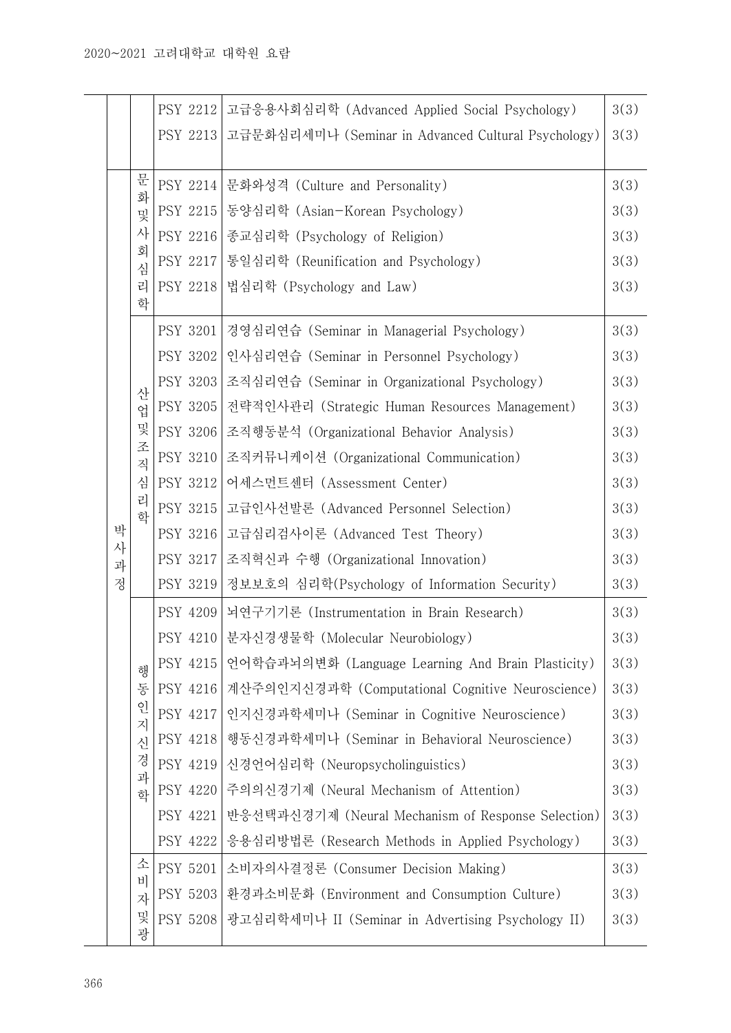|        |                                      | PSY 2212 | 고급응용사회심리학 (Advanced Applied Social Psychology)      | 3(3) |
|--------|--------------------------------------|----------|-----------------------------------------------------|------|
|        |                                      | PSY 2213 | 고급문화심리세미나 (Seminar in Advanced Cultural Psychology) | 3(3) |
|        |                                      |          |                                                     |      |
|        | 문<br>화<br>및<br>사<br>회<br>심<br>리<br>학 | PSY 2214 | 문화와성격 (Culture and Personality)                     | 3(3) |
|        |                                      | PSY 2215 | 동양심리학 (Asian-Korean Psychology)                     | 3(3) |
|        |                                      | PSY 2216 | 종교심리학 (Psychology of Religion)                      | 3(3) |
|        |                                      | PSY 2217 | 통일심리학 (Reunification and Psychology)                | 3(3) |
|        |                                      | PSY 2218 | 법심리학 (Psychology and Law)                           | 3(3) |
|        | 산<br>업<br>및                          | PSY 3201 | 경영심리연습 (Seminar in Managerial Psychology)           | 3(3) |
|        |                                      | PSY 3202 | 인사심리연습 (Seminar in Personnel Psychology)            | 3(3) |
|        |                                      | PSY 3203 | 조직심리연습 (Seminar in Organizational Psychology)       | 3(3) |
|        |                                      | PSY 3205 | 전략적인사관리 (Strategic Human Resources Management)      | 3(3) |
|        |                                      | PSY 3206 | 조직행동분석 (Organizational Behavior Analysis)           | 3(3) |
|        | 조<br>직                               | PSY 3210 | 조직커뮤니케이션 (Organizational Communication)             | 3(3) |
|        | 심<br>리<br>학                          | PSY 3212 | 어세스먼트센터 (Assessment Center)                         | 3(3) |
|        |                                      | PSY 3215 | 고급인사선발론 (Advanced Personnel Selection)              | 3(3) |
| 박      |                                      | PSY 3216 | 고급심리검사이론 (Advanced Test Theory)                     | 3(3) |
| 사<br>과 |                                      | PSY 3217 | 조직혁신과 수행 (Organizational Innovation)                | 3(3) |
| 정      |                                      | PSY 3219 | 정보보호의 심리학(Psychology of Information Security)       | 3(3) |
|        |                                      | PSY 4209 | 뇌연구기기론 (Instrumentation in Brain Research)          | 3(3) |
|        | 행<br>동<br>인<br>지<br>신<br>경<br>과<br>학 | PSY 4210 | 분자신경생물학 (Molecular Neurobiology)                    | 3(3) |
|        |                                      | PSY 4215 | 언어학습과뇌의변화 (Language Learning And Brain Plasticity)  | 3(3) |
|        |                                      | PSY 4216 | 계산주의인지신경과학 (Computational Cognitive Neuroscience)   | 3(3) |
|        |                                      | PSY 4217 | 인지신경과학세미나 (Seminar in Cognitive Neuroscience)       | 3(3) |
|        |                                      | PSY 4218 | 행동신경과학세미나 (Seminar in Behavioral Neuroscience)      | 3(3) |
|        |                                      | PSY 4219 | 신경언어심리학 (Neuropsycholinguistics)                    | 3(3) |
|        |                                      | PSY 4220 | 주의의신경기제 (Neural Mechanism of Attention)             | 3(3) |
|        |                                      | PSY 4221 | 반응선택과신경기제 (Neural Mechanism of Response Selection)  | 3(3) |
|        |                                      | PSY 4222 | 응용심리방법론 (Research Methods in Applied Psychology)    | 3(3) |
|        | 소<br>비<br>자                          | PSY 5201 | 소비자의사결정론 (Consumer Decision Making)                 | 3(3) |
|        |                                      | PSY 5203 | 환경과소비문화 (Environment and Consumption Culture)       | 3(3) |
|        | 및<br>광                               | PSY 5208 | 광고심리학세미나 II (Seminar in Advertising Psychology II)  | 3(3) |
|        |                                      |          |                                                     |      |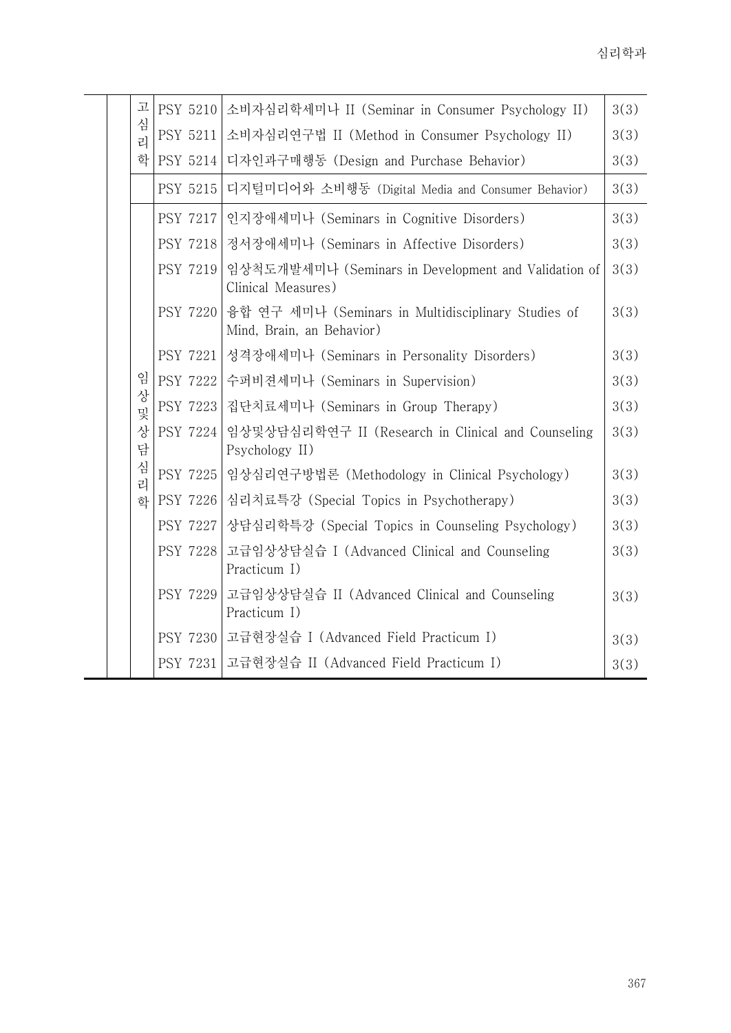| 고      | <b>PSY 5210</b> | 소비자심리학세미나 II (Seminar in Consumer Psychology II)                                 | 3(3) |
|--------|-----------------|----------------------------------------------------------------------------------|------|
| 심<br>리 | <b>PSY 5211</b> | 소비자심리연구법 II (Method in Consumer Psychology II)                                   | 3(3) |
| 화      | <b>PSY 5214</b> | 디자인과구매행동 (Design and Purchase Behavior)                                          | 3(3) |
|        | PSY 5215        | 디지털미디어와 소비행동 (Digital Media and Consumer Behavior)                               | 3(3) |
|        | <b>PSY 7217</b> | 인지장애세미나 (Seminars in Cognitive Disorders)                                        | 3(3) |
|        | <b>PSY 7218</b> | 정서장애세미나 (Seminars in Affective Disorders)                                        | 3(3) |
|        | <b>PSY 7219</b> | 임상척도개발세미나 (Seminars in Development and Validation of<br>Clinical Measures)       | 3(3) |
|        | <b>PSY 7220</b> | 융합 연구 세미나 (Seminars in Multidisciplinary Studies of<br>Mind, Brain, an Behavior) | 3(3) |
|        | PSY 7221        | 성격장애세미나 (Seminars in Personality Disorders)                                      | 3(3) |
| 임      | PSY 7222        | 수퍼비젼세미나 (Seminars in Supervision)                                                | 3(3) |
| 상<br>및 | PSY 7223        | 집단치료세미나 (Seminars in Group Therapy)                                              | 3(3) |
| 상<br>담 | PSY 7224        | 임상및상담심리학연구 II (Research in Clinical and Counseling<br>Psychology II)             | 3(3) |
| 심<br>리 | PSY 7225        | 임상심리연구방법론 (Methodology in Clinical Psychology)                                   | 3(3) |
| 하      | PSY 7226        | 심리치료특강 (Special Topics in Psychotherapy)                                         | 3(3) |
|        | <b>PSY 7227</b> | 상담심리학특강 (Special Topics in Counseling Psychology)                                | 3(3) |
|        | PSY 7228        | 고급임상상담실습 I (Advanced Clinical and Counseling<br>Practicum I)                     | 3(3) |
|        | <b>PSY 7229</b> | 고급임상상담실습 II (Advanced Clinical and Counseling<br>Practicum I)                    | 3(3) |
|        |                 | PSY 7230   고급현장실습 I (Advanced Field Practicum I)                                 | 3(3) |
|        | PSY 7231        | 고급현장실습 II (Advanced Field Practicum I)                                           | 3(3) |